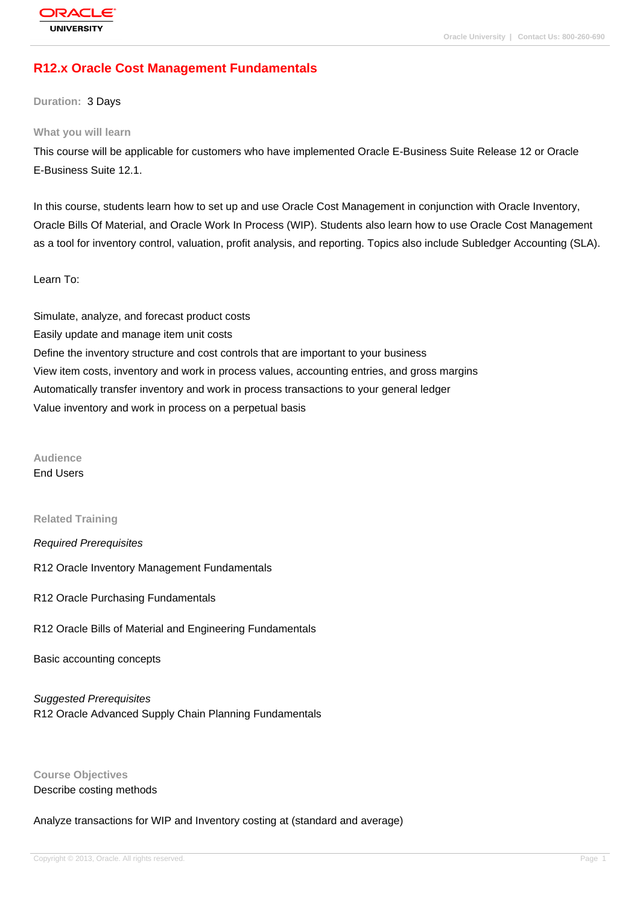# **[R12.x Oracle C](http://education.oracle.com/pls/web_prod-plq-dad/db_pages.getpage?page_id=3)ost Management Fundamentals**

**Duration:** 3 Days

#### **What you will learn**

This course will be applicable for customers who have implemented Oracle E-Business Suite Release 12 or Oracle E-Business Suite 12.1.

In this course, students learn how to set up and use Oracle Cost Management in conjunction with Oracle Inventory, Oracle Bills Of Material, and Oracle Work In Process (WIP). Students also learn how to use Oracle Cost Management as a tool for inventory control, valuation, profit analysis, and reporting. Topics also include Subledger Accounting (SLA).

#### Learn To:

Simulate, analyze, and forecast product costs Easily update and manage item unit costs Define the inventory structure and cost controls that are important to your business View item costs, inventory and work in process values, accounting entries, and gross margins Automatically transfer inventory and work in process transactions to your general ledger Value inventory and work in process on a perpetual basis

# **Audience**

End Users

#### **Related Training**

#### Required Prerequisites

R12 Oracle Inventory Management Fundamentals

- R12 Oracle Purchasing Fundamentals
- R12 Oracle Bills of Material and Engineering Fundamentals

Basic accounting concepts

Suggested Prerequisites R12 Oracle Advanced Supply Chain Planning Fundamentals

**Course Objectives** Describe costing methods

Analyze transactions for WIP and Inventory costing at (standard and average)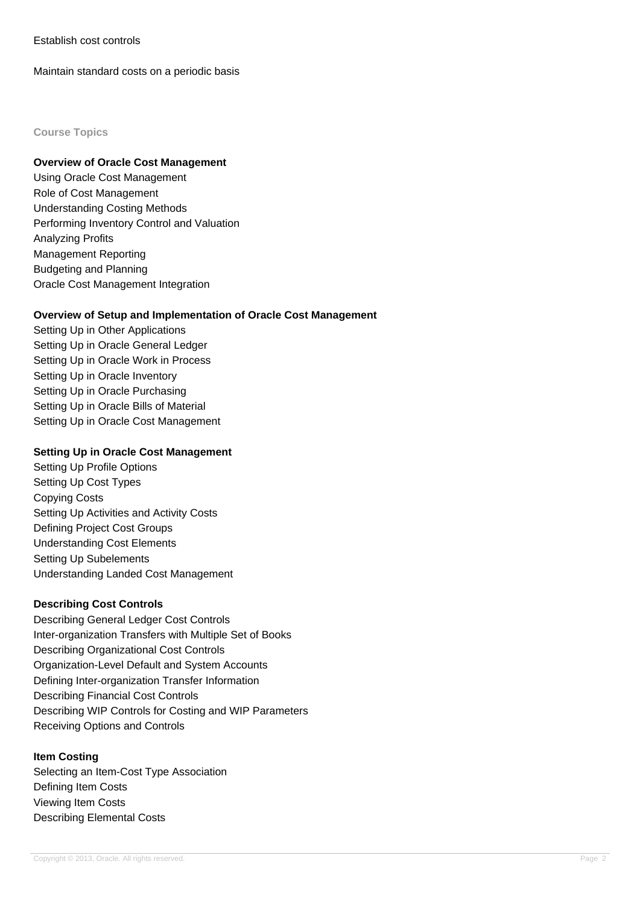## Establish cost controls

Maintain standard costs on a periodic basis

#### **Course Topics**

#### **Overview of Oracle Cost Management**

Using Oracle Cost Management Role of Cost Management Understanding Costing Methods Performing Inventory Control and Valuation Analyzing Profits Management Reporting Budgeting and Planning Oracle Cost Management Integration

## **Overview of Setup and Implementation of Oracle Cost Management**

Setting Up in Other Applications Setting Up in Oracle General Ledger Setting Up in Oracle Work in Process Setting Up in Oracle Inventory Setting Up in Oracle Purchasing Setting Up in Oracle Bills of Material Setting Up in Oracle Cost Management

#### **Setting Up in Oracle Cost Management**

Setting Up Profile Options Setting Up Cost Types Copying Costs Setting Up Activities and Activity Costs Defining Project Cost Groups Understanding Cost Elements Setting Up Subelements Understanding Landed Cost Management

#### **Describing Cost Controls**

Describing General Ledger Cost Controls Inter-organization Transfers with Multiple Set of Books Describing Organizational Cost Controls Organization-Level Default and System Accounts Defining Inter-organization Transfer Information Describing Financial Cost Controls Describing WIP Controls for Costing and WIP Parameters Receiving Options and Controls

#### **Item Costing**

Selecting an Item-Cost Type Association Defining Item Costs Viewing Item Costs Describing Elemental Costs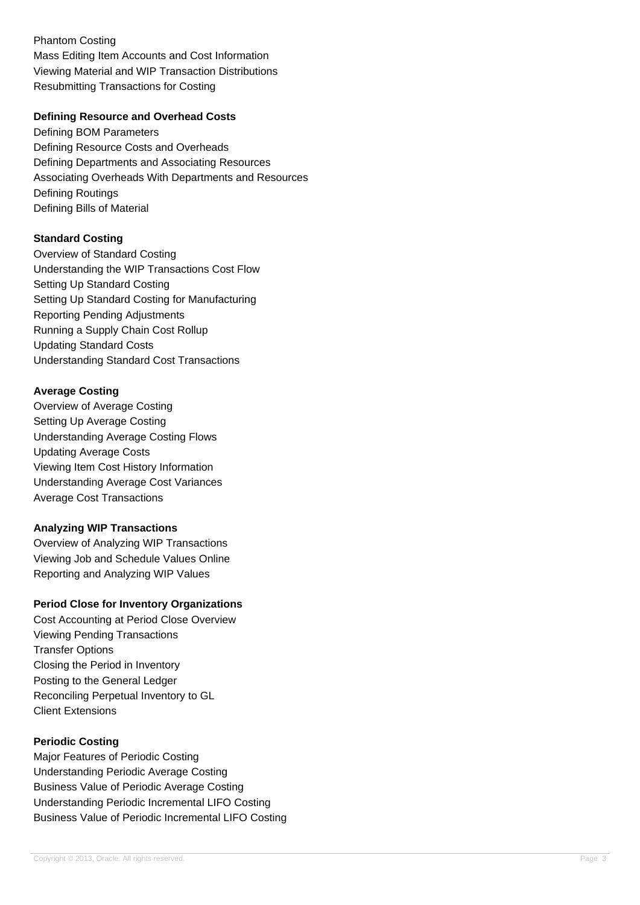Phantom Costing Mass Editing Item Accounts and Cost Information Viewing Material and WIP Transaction Distributions Resubmitting Transactions for Costing

## **Defining Resource and Overhead Costs**

Defining BOM Parameters Defining Resource Costs and Overheads Defining Departments and Associating Resources Associating Overheads With Departments and Resources Defining Routings Defining Bills of Material

# **Standard Costing**

Overview of Standard Costing Understanding the WIP Transactions Cost Flow Setting Up Standard Costing Setting Up Standard Costing for Manufacturing Reporting Pending Adjustments Running a Supply Chain Cost Rollup Updating Standard Costs Understanding Standard Cost Transactions

# **Average Costing**

Overview of Average Costing Setting Up Average Costing Understanding Average Costing Flows Updating Average Costs Viewing Item Cost History Information Understanding Average Cost Variances Average Cost Transactions

## **Analyzing WIP Transactions**

Overview of Analyzing WIP Transactions Viewing Job and Schedule Values Online Reporting and Analyzing WIP Values

## **Period Close for Inventory Organizations**

Cost Accounting at Period Close Overview Viewing Pending Transactions Transfer Options Closing the Period in Inventory Posting to the General Ledger Reconciling Perpetual Inventory to GL Client Extensions

# **Periodic Costing**

Major Features of Periodic Costing Understanding Periodic Average Costing Business Value of Periodic Average Costing Understanding Periodic Incremental LIFO Costing Business Value of Periodic Incremental LIFO Costing